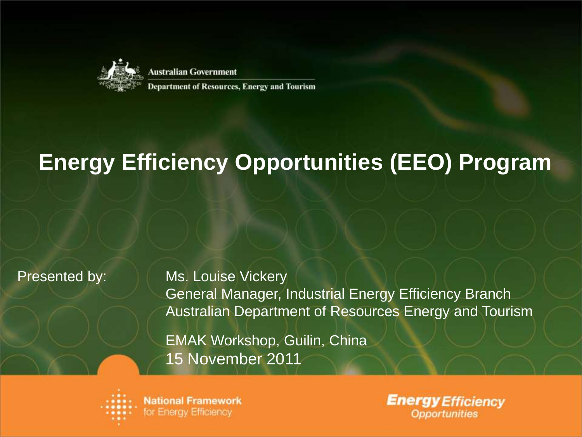

**Australian Government** 

**Department of Resources, Energy and Tourism** 

### **Energy Efficiency Opportunities (EEO) Program**

Presented by: Ms. Louise Vickery General Manager, Industrial Energy Efficiency Branch Australian Department of Resources Energy and Tourism

> EMAK Workshop, Guilin, China 15 November 2011



**Energy Efficiency Opportunities**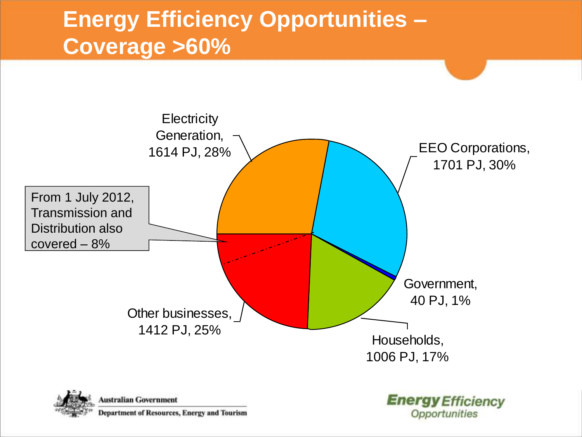### **Energy Efficiency Opportunities – Coverage >60%**

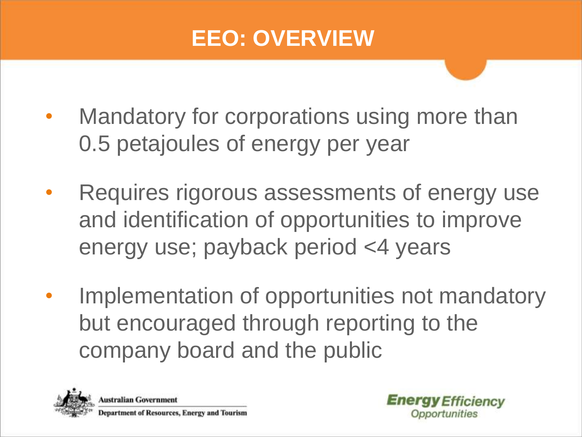### **EEO: OVERVIEW**

- Mandatory for corporations using more than 0.5 petajoules of energy per year
- Requires rigorous assessments of energy use and identification of opportunities to improve energy use; payback period <4 years
- Implementation of opportunities not mandatory but encouraged through reporting to the company board and the public

![](_page_2_Picture_4.jpeg)

**Australian Government** Department of Resources, Energy and Tourism

![](_page_2_Picture_6.jpeg)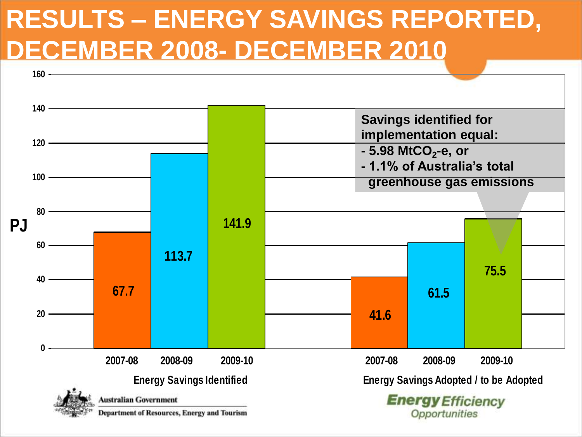## **RESULTS – ENERGY SAVINGS REPORTED, DECEMBER 2008- DECEMBER 2010**

![](_page_3_Figure_1.jpeg)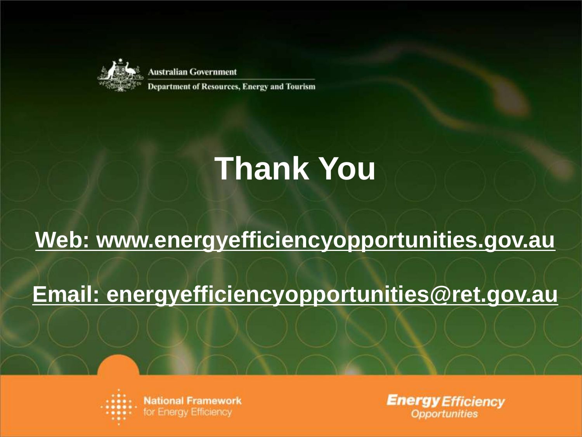![](_page_4_Picture_0.jpeg)

**Australian Government** 

**Department of Resources, Energy and Tourism** 

# **Thank You**

### **Web: www.energyefficiencyopportunities.gov.au**

#### **Email: energyefficiencyopportunities@ret.gov.au**

![](_page_4_Picture_6.jpeg)

**Energy Efficiency Opportunities**